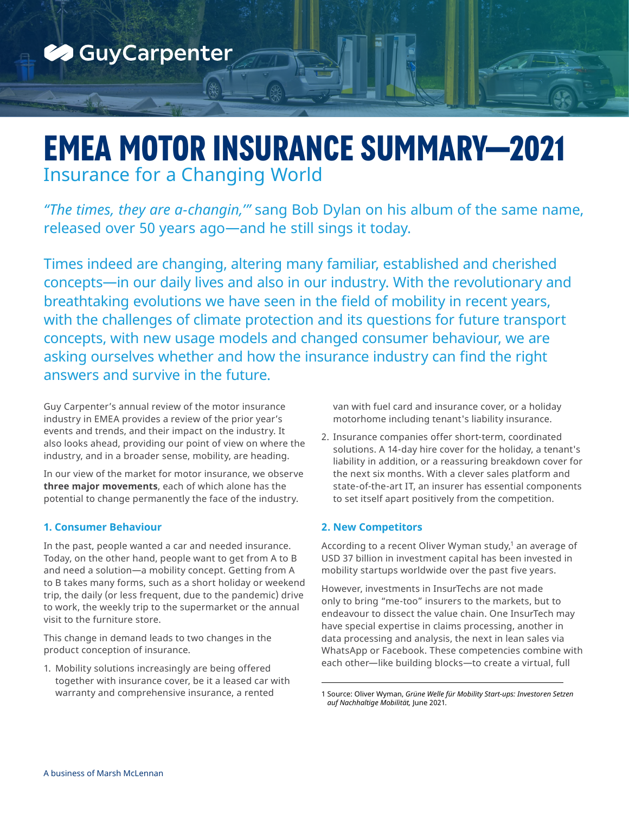

# **EMEA MOTOR INSURANCE SUMMARY—2021** Insurance for a Changing World

*"The times, they are a-changin,'"* sang Bob Dylan on his album of the same name, released over 50 years ago—and he still sings it today.

Times indeed are changing, altering many familiar, established and cherished concepts—in our daily lives and also in our industry. With the revolutionary and breathtaking evolutions we have seen in the field of mobility in recent years, with the challenges of climate protection and its questions for future transport concepts, with new usage models and changed consumer behaviour, we are asking ourselves whether and how the insurance industry can find the right answers and survive in the future.

Guy Carpenter's annual review of the motor insurance industry in EMEA provides a review of the prior year's events and trends, and their impact on the industry. It also looks ahead, providing our point of view on where the industry, and in a broader sense, mobility, are heading.

In our view of the market for motor insurance, we observe **three major movements**, each of which alone has the potential to change permanently the face of the industry.

## **1. Consumer Behaviour**

In the past, people wanted a car and needed insurance. Today, on the other hand, people want to get from A to B and need a solution—a mobility concept. Getting from A to B takes many forms, such as a short holiday or weekend trip, the daily (or less frequent, due to the pandemic) drive to work, the weekly trip to the supermarket or the annual visit to the furniture store.

This change in demand leads to two changes in the product conception of insurance.

1. Mobility solutions increasingly are being offered together with insurance cover, be it a leased car with warranty and comprehensive insurance, a rented

van with fuel card and insurance cover, or a holiday motorhome including tenant's liability insurance.

2. Insurance companies offer short-term, coordinated solutions. A 14-day hire cover for the holiday, a tenant's liability in addition, or a reassuring breakdown cover for the next six months. With a clever sales platform and state-of-the-art IT, an insurer has essential components to set itself apart positively from the competition.

## **2. New Competitors**

According to a recent Oliver Wyman study, $1$  an average of USD 37 billion in investment capital has been invested in mobility startups worldwide over the past five years.

However, investments in InsurTechs are not made only to bring "me-too" insurers to the markets, but to endeavour to dissect the value chain. One InsurTech may have special expertise in claims processing, another in data processing and analysis, the next in lean sales via WhatsApp or Facebook. These competencies combine with each other—like building blocks—to create a virtual, full

<sup>1</sup> Source: Oliver Wyman, *Grüne Welle für Mobility Start-ups: Investoren Setzen auf Nachhaltige Mobilität,* June 2021*.*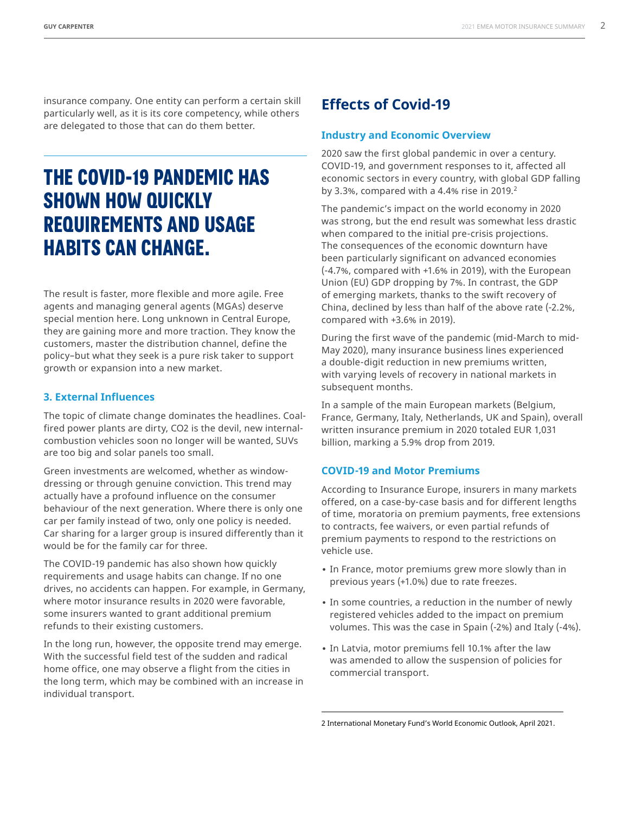insurance company. One entity can perform a certain skill particularly well, as it is its core competency, while others are delegated to those that can do them better.

## **THE COVID-19 PANDEMIC HAS SHOWN HOW QUICKLY REQUIREMENTS AND USAGE HABITS CAN CHANGE.**

The result is faster, more flexible and more agile. Free agents and managing general agents (MGAs) deserve special mention here. Long unknown in Central Europe, they are gaining more and more traction. They know the customers, master the distribution channel, define the policy–but what they seek is a pure risk taker to support growth or expansion into a new market.

#### **3. External Influences**

The topic of climate change dominates the headlines. Coalfired power plants are dirty, CO2 is the devil, new internalcombustion vehicles soon no longer will be wanted, SUVs are too big and solar panels too small.

Green investments are welcomed, whether as windowdressing or through genuine conviction. This trend may actually have a profound influence on the consumer behaviour of the next generation. Where there is only one car per family instead of two, only one policy is needed. Car sharing for a larger group is insured differently than it would be for the family car for three.

The COVID-19 pandemic has also shown how quickly requirements and usage habits can change. If no one drives, no accidents can happen. For example, in Germany, where motor insurance results in 2020 were favorable, some insurers wanted to grant additional premium refunds to their existing customers.

In the long run, however, the opposite trend may emerge. With the successful field test of the sudden and radical home office, one may observe a flight from the cities in the long term, which may be combined with an increase in individual transport.

## **Effects of Covid-19**

#### **Industry and Economic Overview**

2020 saw the first global pandemic in over a century. COVID-19, and government responses to it, affected all economic sectors in every country, with global GDP falling by 3.3%, compared with a 4.4% rise in 2019. $2$ 

The pandemic's impact on the world economy in 2020 was strong, but the end result was somewhat less drastic when compared to the initial pre-crisis projections. The consequences of the economic downturn have been particularly significant on advanced economies (-4.7%, compared with +1.6% in 2019), with the European Union (EU) GDP dropping by 7%. In contrast, the GDP of emerging markets, thanks to the swift recovery of China, declined by less than half of the above rate (-2.2%, compared with +3.6% in 2019).

During the first wave of the pandemic (mid-March to mid-May 2020), many insurance business lines experienced a double-digit reduction in new premiums written, with varying levels of recovery in national markets in subsequent months.

In a sample of the main European markets (Belgium, France, Germany, Italy, Netherlands, UK and Spain), overall written insurance premium in 2020 totaled EUR 1,031 billion, marking a 5.9% drop from 2019.

#### **COVID-19 and Motor Premiums**

According to Insurance Europe, insurers in many markets offered, on a case-by-case basis and for different lengths of time, moratoria on premium payments, free extensions to contracts, fee waivers, or even partial refunds of premium payments to respond to the restrictions on vehicle use.

- **•** In France, motor premiums grew more slowly than in previous years (+1.0%) due to rate freezes.
- **•** In some countries, a reduction in the number of newly registered vehicles added to the impact on premium volumes. This was the case in Spain (-2%) and Italy (-4%).
- **•** In Latvia, motor premiums fell 10.1% after the law was amended to allow the suspension of policies for commercial transport.

<sup>2</sup> International Monetary Fund's World Economic Outlook, April 2021.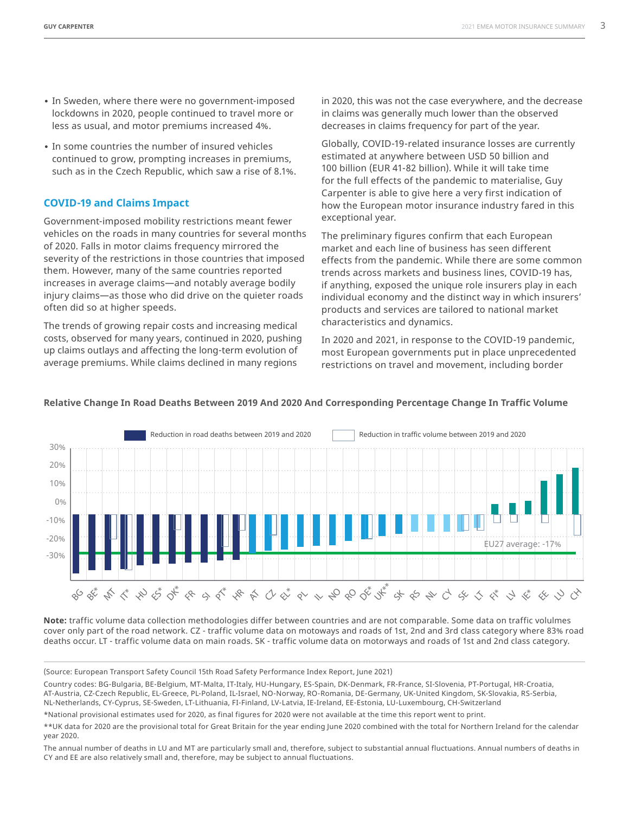- **•** In Sweden, where there were no government-imposed lockdowns in 2020, people continued to travel more or less as usual, and motor premiums increased 4%.
- **•** In some countries the number of insured vehicles continued to grow, prompting increases in premiums, such as in the Czech Republic, which saw a rise of 8.1%.

#### **COVID-19 and Claims Impact**

Government-imposed mobility restrictions meant fewer vehicles on the roads in many countries for several months of 2020. Falls in motor claims frequency mirrored the severity of the restrictions in those countries that imposed them. However, many of the same countries reported increases in average claims—and notably average bodily injury claims—as those who did drive on the quieter roads often did so at higher speeds.

The trends of growing repair costs and increasing medical costs, observed for many years, continued in 2020, pushing up claims outlays and affecting the long-term evolution of average premiums. While claims declined in many regions

in 2020, this was not the case everywhere, and the decrease in claims was generally much lower than the observed decreases in claims frequency for part of the year.

Globally, COVID-19-related insurance losses are currently estimated at anywhere between USD 50 billion and 100 billion (EUR 41-82 billion). While it will take time for the full effects of the pandemic to materialise, Guy Carpenter is able to give here a very first indication of how the European motor insurance industry fared in this exceptional year.

The preliminary figures confirm that each European market and each line of business has seen different effects from the pandemic. While there are some common trends across markets and business lines, COVID-19 has, if anything, exposed the unique role insurers play in each individual economy and the distinct way in which insurers' products and services are tailored to national market characteristics and dynamics.

In 2020 and 2021, in response to the COVID-19 pandemic, most European governments put in place unprecedented restrictions on travel and movement, including border



#### **Relative Change In Road Deaths Between 2019 And 2020 And Corresponding Percentage Change In Traffic Volume**

**Note:** traffic volume data collection methodologies differ between countries and are not comparable. Some data on traffic volulmes cover only part of the road network. CZ - traffic volume data on motoways and roads of 1st, 2nd and 3rd class category where 83% road deaths occur. LT - traffic volume data on main roads. SK - traffic volume data on motorways and roads of 1st and 2nd class category.

(Source: European Transport Safety Council 15th Road Safety Performance Index Report, June 2021)

Country codes: BG-Bulgaria, BE-Belgium, MT-Malta, IT-Italy, HU-Hungary, ES-Spain, DK-Denmark, FR-France, SI-Slovenia, PT-Portugal, HR-Croatia, AT-Austria, CZ-Czech Republic, EL-Greece, PL-Poland, IL-Israel, NO-Norway, RO-Romania, DE-Germany, UK-United Kingdom, SK-Slovakia, RS-Serbia, NL-Netherlands, CY-Cyprus, SE-Sweden, LT-Lithuania, FI-Finland, LV-Latvia, IE-Ireland, EE-Estonia, LU-Luxembourg, CH-Switzerland

\*National provisional estimates used for 2020, as final figures for 2020 were not available at the time this report went to print.

The annual number of deaths in LU and MT are particularly small and, therefore, subject to substantial annual fluctuations. Annual numbers of deaths in CY and EE are also relatively small and, therefore, may be subject to annual fluctuations.

<sup>\*\*</sup>UK data for 2020 are the provisional total for Great Britain for the year ending June 2020 combined with the total for Northern Ireland for the calendar year 2020.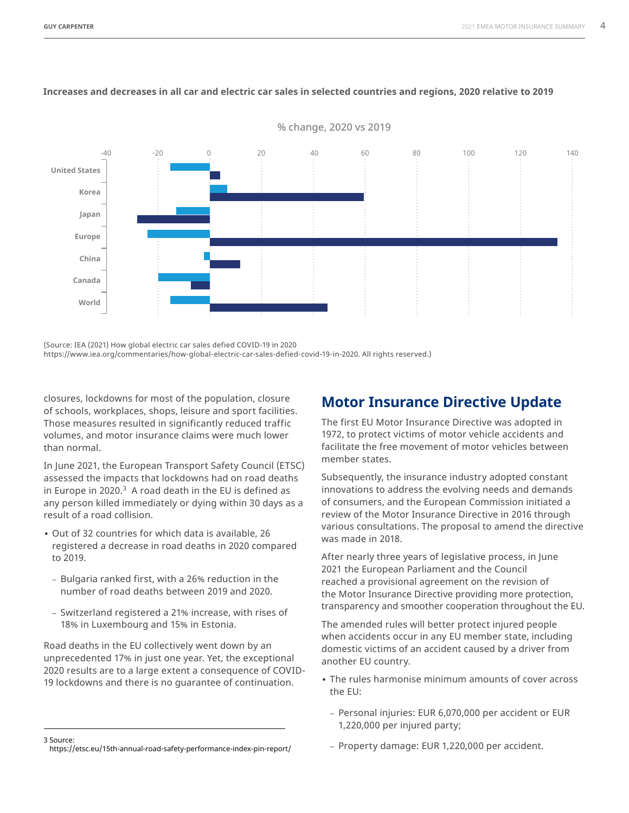

% change, 2020 vs 2019

#### **Increases and decreases in all car and electric car sales in selected countries and regions, 2020 relative to 2019**

(Source: IEA (2021) How global electric car sales defied COVID-19 in 2020

https://www.iea.org/commentaries/how-global-electric-car-sales-defied-covid-19-in-2020. All rights reserved.)

closures, lockdowns for most of the population, closure of schools, workplaces, shops, leisure and sport facilities. Those measures resulted in significantly reduced traffic volumes, and motor insurance claims were much lower than normal.

In June 2021, the European Transport Safety Council (ETSC) assessed the impacts that lockdowns had on road deaths in Europe in 2020.<sup>3</sup> A road death in the EU is defined as any person killed immediately or dying within 30 days as a result of a road collision.

- **•** Out of 32 countries for which data is available, 26 registered a decrease in road deaths in 2020 compared to 2019.
	- Bulgaria ranked first, with a 26% reduction in the number of road deaths between 2019 and 2020.
	- Switzerland registered a 21% increase, with rises of 18% in Luxembourg and 15% in Estonia.

Road deaths in the EU collectively went down by an unprecedented 17% in just one year. Yet, the exceptional 2020 results are to a large extent a consequence of COVID-19 lockdowns and there is no guarantee of continuation.

## **Motor Insurance Directive Update**

The first EU Motor Insurance Directive was adopted in 1972, to protect victims of motor vehicle accidents and facilitate the free movement of motor vehicles between member states.

Subsequently, the insurance industry adopted constant innovations to address the evolving needs and demands of consumers, and the European Commission initiated a review of the Motor Insurance Directive in 2016 through various consultations. The proposal to amend the directive was made in 2018.

After nearly three years of legislative process, in June 2021 the European Parliament and the Council reached a provisional agreement on the revision of the Motor Insurance Directive providing more protection, transparency and smoother cooperation throughout the EU.

The amended rules will better protect injured people when accidents occur in any EU member state, including domestic victims of an accident caused by a driver from another EU country.

- **•** The rules harmonise minimum amounts of cover across the EU:
	- Personal injuries: EUR 6,070,000 per accident or EUR 1,220,000 per injured party;

– Property damage: EUR 1,220,000 per accident.

<sup>3</sup> Source:

<https://etsc.eu/15th-annual-road-safety-performance-index-pin-report/>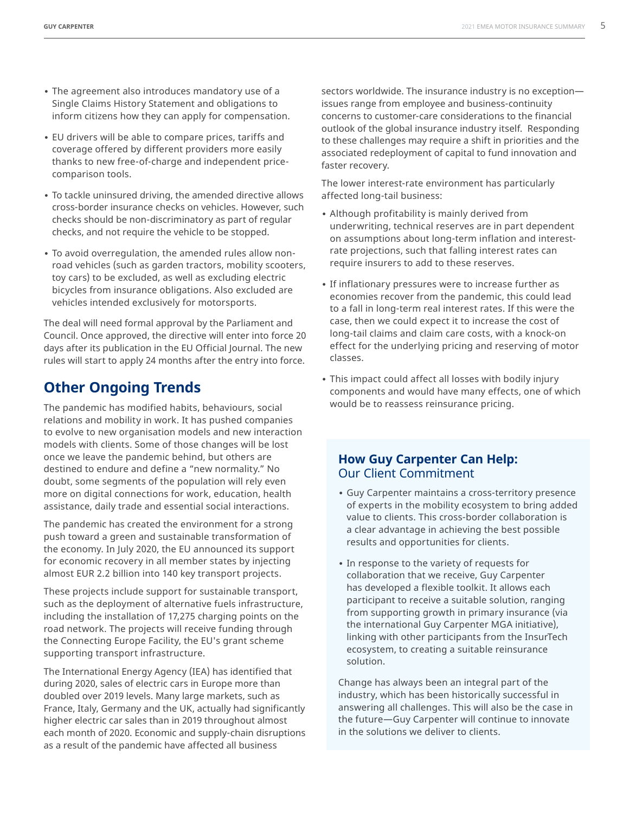- **•** The agreement also introduces mandatory use of a Single Claims History Statement and obligations to inform citizens how they can apply for compensation.
- **•** EU drivers will be able to compare prices, tariffs and coverage offered by different providers more easily thanks to new free-of-charge and independent pricecomparison tools.
- **•** To tackle uninsured driving, the amended directive allows cross-border insurance checks on vehicles. However, such checks should be non-discriminatory as part of regular checks, and not require the vehicle to be stopped.
- **•** To avoid overregulation, the amended rules allow nonroad vehicles (such as garden tractors, mobility scooters, toy cars) to be excluded, as well as excluding electric bicycles from insurance obligations. Also excluded are vehicles intended exclusively for motorsports.

The deal will need formal approval by the Parliament and Council. Once approved, the directive will enter into force 20 days after its publication in the EU Official Journal. The new rules will start to apply 24 months after the entry into force.

## **Other Ongoing Trends**

The pandemic has modified habits, behaviours, social relations and mobility in work. It has pushed companies to evolve to new organisation models and new interaction models with clients. Some of those changes will be lost once we leave the pandemic behind, but others are destined to endure and define a "new normality." No doubt, some segments of the population will rely even more on digital connections for work, education, health assistance, daily trade and essential social interactions.

The pandemic has created the environment for a strong push toward a green and sustainable transformation of the economy. In July 2020, the EU announced its support for economic recovery in all member states by injecting almost EUR 2.2 billion into 140 key transport projects.

These projects include support for sustainable transport, such as the deployment of alternative fuels infrastructure, including the installation of 17,275 charging points on the road network. The projects will receive funding through the Connecting Europe Facility, the EU's grant scheme supporting transport infrastructure.

The International Energy Agency (IEA) has identified that during 2020, sales of electric cars in Europe more than doubled over 2019 levels. Many large markets, such as France, Italy, Germany and the UK, actually had significantly higher electric car sales than in 2019 throughout almost each month of 2020. Economic and supply-chain disruptions as a result of the pandemic have affected all business

sectors worldwide. The insurance industry is no exception issues range from employee and business-continuity concerns to customer-care considerations to the financial outlook of the global insurance industry itself. Responding to these challenges may require a shift in priorities and the associated redeployment of capital to fund innovation and faster recovery.

The lower interest-rate environment has particularly affected long-tail business:

- **•** Although profitability is mainly derived from underwriting, technical reserves are in part dependent on assumptions about long-term inflation and interestrate projections, such that falling interest rates can require insurers to add to these reserves.
- **•** If inflationary pressures were to increase further as economies recover from the pandemic, this could lead to a fall in long-term real interest rates. If this were the case, then we could expect it to increase the cost of long-tail claims and claim care costs, with a knock-on effect for the underlying pricing and reserving of motor classes.
- **•** This impact could affect all losses with bodily injury components and would have many effects, one of which would be to reassess reinsurance pricing.

### **How Guy Carpenter Can Help:**  Our Client Commitment

- **•** Guy Carpenter maintains a cross-territory presence of experts in the mobility ecosystem to bring added value to clients. This cross-border collaboration is a clear advantage in achieving the best possible results and opportunities for clients.
- **•** In response to the variety of requests for collaboration that we receive, Guy Carpenter has developed a flexible toolkit. It allows each participant to receive a suitable solution, ranging from supporting growth in primary insurance (via the international Guy Carpenter MGA initiative), linking with other participants from the InsurTech ecosystem, to creating a suitable reinsurance solution.

Change has always been an integral part of the industry, which has been historically successful in answering all challenges. This will also be the case in the future—Guy Carpenter will continue to innovate in the solutions we deliver to clients.